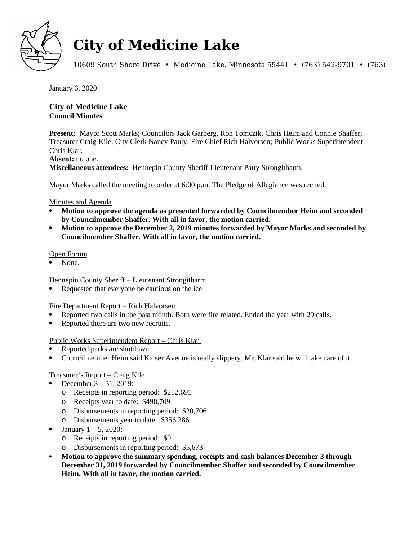

# **City of Medicine Lake**

10609 South Shore Drive • Medicine Lake, Minnesota 55441 • (763) 542-9701 • (763)

January 6, 2020

# **City of Medicine Lake Council Minutes**

**Present:** Mayor Scott Marks; Councilors Jack Garberg, Ron Tomczik, Chris Heim and Connie Shaffer; Treasurer Craig Kile; City Clerk Nancy Pauly; Fire Chief Rich Halvorsen; Public Works Superintendent Chris Klar.

#### **Absent:** no one.

**Miscellaneous attendees:** Hennepin County Sheriff Lieutenant Patty Strongitharm.

Mayor Marks called the meeting to order at 6:00 p.m. The Pledge of Allegiance was recited.

#### Minutes and Agenda

- **Motion to approve the agenda as presented forwarded by Councilmember Heim and seconded by Councilmember Shaffer. With all in favor, the motion carried.**
- **Motion to approve the December 2, 2019 minutes forwarded by Mayor Marks and seconded by Councilmember Shaffer. With all in favor, the motion carried.**

#### Open Forum

None.

Hennepin County Sheriff – Lieutenant Strongitharm

Requested that everyone be cautious on the ice.

Fire Department Report – Rich Halvorsen

- Reported two calls in the past month. Both were fire related. Ended the year with 29 calls.
- Reported there are two new recruits.

## Public Works Superintendent Report – Chris Klar

- Reported parks are shutdown.
- Councilmember Heim said Kaiser Avenue is really slippery. Mr. Klar said he will take care of it.

## Treasurer's Report – Craig Kile

- December 3 31, 2019:
	- o Receipts in reporting period: \$212,691
	- o Receipts year to date: \$498,709
	- o Disbursements in reporting period: \$20,706
	- o Disbursements year to date: \$356,286
- January 1 5, 2020:
	- o Receipts in reporting period: \$0
	- o Disbursements in reporting period: \$5,673
- **Motion to approve the summary spending, receipts and cash balances December 3 through December 31, 2019 forwarded by Councilmember Shaffer and seconded by Councilmember Heim. With all in favor, the motion carried.**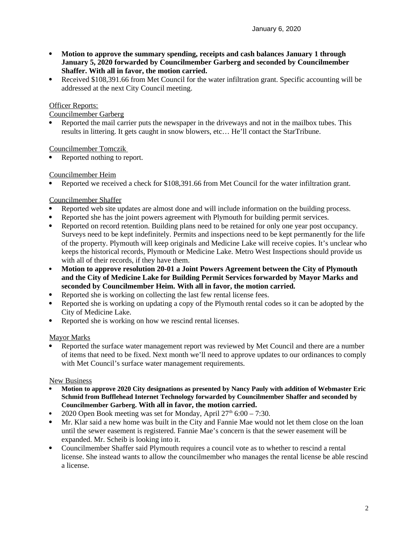- **Motion to approve the summary spending, receipts and cash balances January 1 through January 5, 2020 forwarded by Councilmember Garberg and seconded by Councilmember Shaffer. With all in favor, the motion carried.**
- Received \$108,391.66 from Met Council for the water infiltration grant. Specific accounting will be addressed at the next City Council meeting.

### Officer Reports:

Councilmember Garberg

 Reported the mail carrier puts the newspaper in the driveways and not in the mailbox tubes. This results in littering. It gets caught in snow blowers, etc… He'll contact the StarTribune.

Councilmember Tomczik

Reported nothing to report.

Councilmember Heim

Reported we received a check for \$108,391.66 from Met Council for the water infiltration grant.

#### Councilmember Shaffer

- Reported web site updates are almost done and will include information on the building process.
- Reported she has the joint powers agreement with Plymouth for building permit services.
- Reported on record retention. Building plans need to be retained for only one year post occupancy. Surveys need to be kept indefinitely. Permits and inspections need to be kept permanently for the life of the property. Plymouth will keep originals and Medicine Lake will receive copies. It's unclear who keeps the historical records, Plymouth or Medicine Lake. Metro West Inspections should provide us with all of their records, if they have them.
- **Motion to approve resolution 20-01 a Joint Powers Agreement between the City of Plymouth and the City of Medicine Lake for Building Permit Services forwarded by Mayor Marks and seconded by Councilmember Heim. With all in favor, the motion carried.**
- Reported she is working on collecting the last few rental license fees.
- Reported she is working on updating a copy of the Plymouth rental codes so it can be adopted by the City of Medicine Lake.
- Reported she is working on how we rescind rental licenses.

## Mayor Marks

 Reported the surface water management report was reviewed by Met Council and there are a number of items that need to be fixed. Next month we'll need to approve updates to our ordinances to comply with Met Council's surface water management requirements.

#### New Business

- **Motion to approve 2020 City designations as presented by Nancy Pauly with addition of Webmaster Eric Schmid from Bufflehead Internet Technology forwarded by Councilmember Shaffer and seconded by Councilmember Garberg. With all in favor, the motion carried.**
- 2020 Open Book meeting was set for Monday, April  $27<sup>th</sup> 6:00 7:30$ .
- Mr. Klar said a new home was built in the City and Fannie Mae would not let them close on the loan until the sewer easement is registered. Fannie Mae's concern is that the sewer easement will be expanded. Mr. Scheib is looking into it.
- Councilmember Shaffer said Plymouth requires a council vote as to whether to rescind a rental license. She instead wants to allow the councilmember who manages the rental license be able rescind a license.